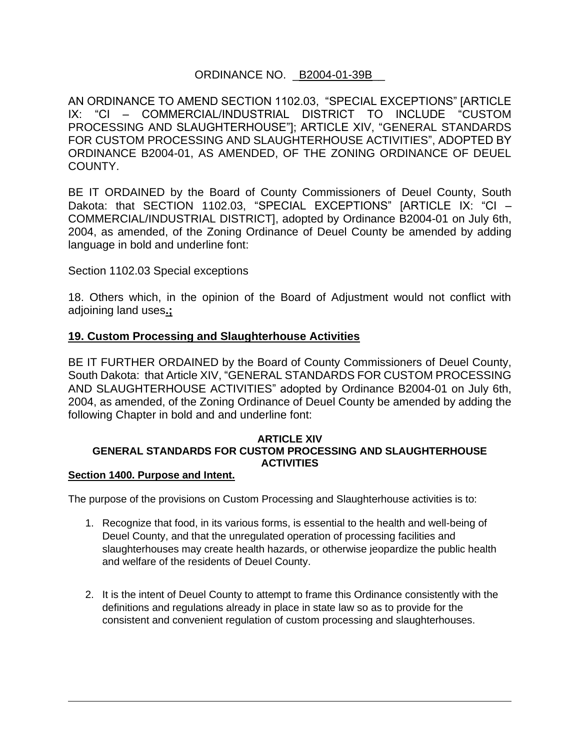# ORDINANCE NO. \_B2004-01-39B\_\_

AN ORDINANCE TO AMEND SECTION 1102.03, "SPECIAL EXCEPTIONS" [ARTICLE IX: "CI – COMMERCIAL/INDUSTRIAL DISTRICT TO INCLUDE "CUSTOM PROCESSING AND SLAUGHTERHOUSE"]; ARTICLE XIV, "GENERAL STANDARDS FOR CUSTOM PROCESSING AND SLAUGHTERHOUSE ACTIVITIES", ADOPTED BY ORDINANCE B2004-01, AS AMENDED, OF THE ZONING ORDINANCE OF DEUEL COUNTY.

BE IT ORDAINED by the Board of County Commissioners of Deuel County, South Dakota: that SECTION 1102.03, "SPECIAL EXCEPTIONS" [ARTICLE IX: "CI – COMMERCIAL/INDUSTRIAL DISTRICT], adopted by Ordinance B2004-01 on July 6th, 2004, as amended, of the Zoning Ordinance of Deuel County be amended by adding language in bold and underline font:

Section 1102.03 Special exceptions

18. Others which, in the opinion of the Board of Adjustment would not conflict with adjoining land uses**.;**

## **19. Custom Processing and Slaughterhouse Activities**

BE IT FURTHER ORDAINED by the Board of County Commissioners of Deuel County, South Dakota: that Article XIV, "GENERAL STANDARDS FOR CUSTOM PROCESSING AND SLAUGHTERHOUSE ACTIVITIES" adopted by Ordinance B2004-01 on July 6th, 2004, as amended, of the Zoning Ordinance of Deuel County be amended by adding the following Chapter in bold and and underline font:

## **ARTICLE XIV GENERAL STANDARDS FOR CUSTOM PROCESSING AND SLAUGHTERHOUSE ACTIVITIES**

#### **Section 1400. Purpose and Intent.**

The purpose of the provisions on Custom Processing and Slaughterhouse activities is to:

- 1. Recognize that food, in its various forms, is essential to the health and well-being of Deuel County, and that the unregulated operation of processing facilities and slaughterhouses may create health hazards, or otherwise jeopardize the public health and welfare of the residents of Deuel County.
- 2. It is the intent of Deuel County to attempt to frame this Ordinance consistently with the definitions and regulations already in place in state law so as to provide for the consistent and convenient regulation of custom processing and slaughterhouses.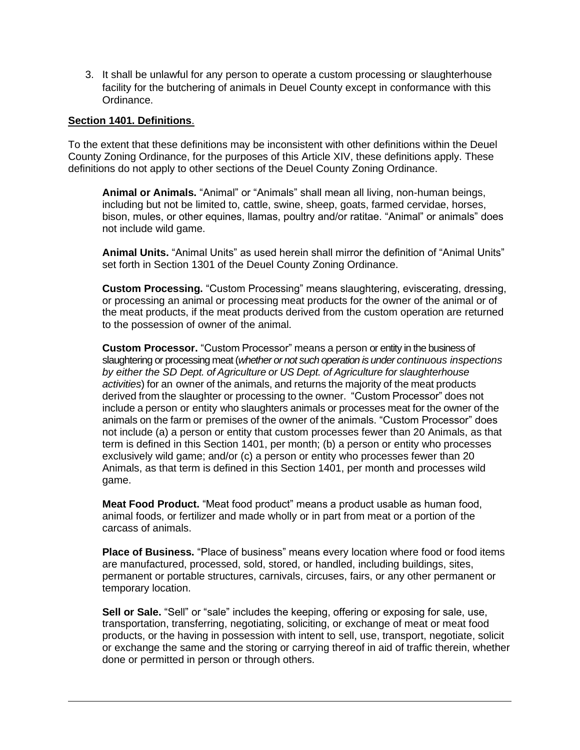3. It shall be unlawful for any person to operate a custom processing or slaughterhouse facility for the butchering of animals in Deuel County except in conformance with this Ordinance.

#### **Section 1401. Definitions**.

To the extent that these definitions may be inconsistent with other definitions within the Deuel County Zoning Ordinance, for the purposes of this Article XIV, these definitions apply. These definitions do not apply to other sections of the Deuel County Zoning Ordinance.

**Animal or Animals.** "Animal" or "Animals" shall mean all living, non-human beings, including but not be limited to, cattle, swine, sheep, goats, farmed cervidae, horses, bison, mules, or other equines, llamas, poultry and/or ratitae. "Animal" or animals" does not include wild game.

**Animal Units.** "Animal Units" as used herein shall mirror the definition of "Animal Units" set forth in Section 1301 of the Deuel County Zoning Ordinance.

**Custom Processing.** "Custom Processing" means slaughtering, eviscerating, dressing, or processing an animal or processing meat products for the owner of the animal or of the meat products, if the meat products derived from the custom operation are returned to the possession of owner of the animal.

**Custom Processor.** "Custom Processor" means a person or entity in the business of slaughtering or processing meat (*whether or not such operation is under continuous inspections by either the SD Dept. of Agriculture or US Dept. of Agriculture for slaughterhouse activities*) for an owner of the animals, and returns the majority of the meat products derived from the slaughter or processing to the owner. "Custom Processor" does not include a person or entity who slaughters animals or processes meat for the owner of the animals on the farm or premises of the owner of the animals. "Custom Processor" does not include (a) a person or entity that custom processes fewer than 20 Animals, as that term is defined in this Section 1401, per month; (b) a person or entity who processes exclusively wild game; and/or (c) a person or entity who processes fewer than 20 Animals, as that term is defined in this Section 1401, per month and processes wild game.

**Meat Food Product.** "Meat food product" means a product usable as human food, animal foods, or fertilizer and made wholly or in part from meat or a portion of the carcass of animals.

**Place of Business.** "Place of business" means every location where food or food items are manufactured, processed, sold, stored, or handled, including buildings, sites, permanent or portable structures, carnivals, circuses, fairs, or any other permanent or temporary location.

**Sell or Sale.** "Sell" or "sale" includes the keeping, offering or exposing for sale, use, transportation, transferring, negotiating, soliciting, or exchange of meat or meat food products, or the having in possession with intent to sell, use, transport, negotiate, solicit or exchange the same and the storing or carrying thereof in aid of traffic therein, whether done or permitted in person or through others.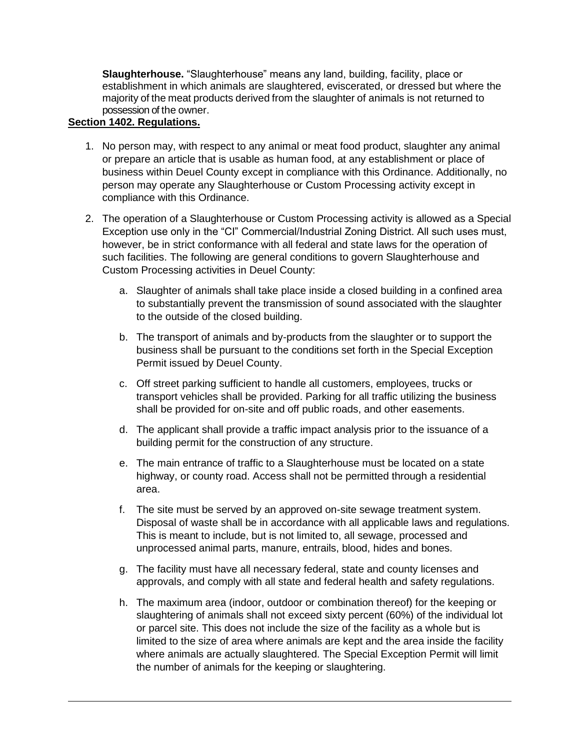**Slaughterhouse.** "Slaughterhouse" means any land, building, facility, place or establishment in which animals are slaughtered, eviscerated, or dressed but where the majority of the meat products derived from the slaughter of animals is not returned to possession of the owner.

## **Section 1402. Regulations.**

- 1. No person may, with respect to any animal or meat food product, slaughter any animal or prepare an article that is usable as human food, at any establishment or place of business within Deuel County except in compliance with this Ordinance. Additionally, no person may operate any Slaughterhouse or Custom Processing activity except in compliance with this Ordinance.
- 2. The operation of a Slaughterhouse or Custom Processing activity is allowed as a Special Exception use only in the "CI" Commercial/Industrial Zoning District. All such uses must, however, be in strict conformance with all federal and state laws for the operation of such facilities. The following are general conditions to govern Slaughterhouse and Custom Processing activities in Deuel County:
	- a. Slaughter of animals shall take place inside a closed building in a confined area to substantially prevent the transmission of sound associated with the slaughter to the outside of the closed building.
	- b. The transport of animals and by-products from the slaughter or to support the business shall be pursuant to the conditions set forth in the Special Exception Permit issued by Deuel County.
	- c. Off street parking sufficient to handle all customers, employees, trucks or transport vehicles shall be provided. Parking for all traffic utilizing the business shall be provided for on-site and off public roads, and other easements.
	- d. The applicant shall provide a traffic impact analysis prior to the issuance of a building permit for the construction of any structure.
	- e. The main entrance of traffic to a Slaughterhouse must be located on a state highway, or county road. Access shall not be permitted through a residential area.
	- f. The site must be served by an approved on-site sewage treatment system. Disposal of waste shall be in accordance with all applicable laws and regulations. This is meant to include, but is not limited to, all sewage, processed and unprocessed animal parts, manure, entrails, blood, hides and bones.
	- g. The facility must have all necessary federal, state and county licenses and approvals, and comply with all state and federal health and safety regulations.
	- h. The maximum area (indoor, outdoor or combination thereof) for the keeping or slaughtering of animals shall not exceed sixty percent (60%) of the individual lot or parcel site. This does not include the size of the facility as a whole but is limited to the size of area where animals are kept and the area inside the facility where animals are actually slaughtered. The Special Exception Permit will limit the number of animals for the keeping or slaughtering.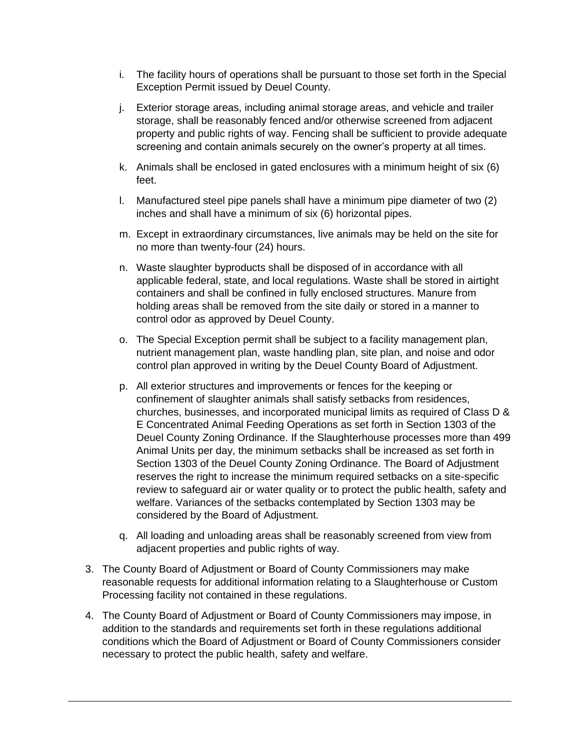- i. The facility hours of operations shall be pursuant to those set forth in the Special Exception Permit issued by Deuel County.
- j. Exterior storage areas, including animal storage areas, and vehicle and trailer storage, shall be reasonably fenced and/or otherwise screened from adjacent property and public rights of way. Fencing shall be sufficient to provide adequate screening and contain animals securely on the owner's property at all times.
- k. Animals shall be enclosed in gated enclosures with a minimum height of six (6) feet.
- l. Manufactured steel pipe panels shall have a minimum pipe diameter of two (2) inches and shall have a minimum of six (6) horizontal pipes.
- m. Except in extraordinary circumstances, live animals may be held on the site for no more than twenty-four (24) hours.
- n. Waste slaughter byproducts shall be disposed of in accordance with all applicable federal, state, and local regulations. Waste shall be stored in airtight containers and shall be confined in fully enclosed structures. Manure from holding areas shall be removed from the site daily or stored in a manner to control odor as approved by Deuel County.
- o. The Special Exception permit shall be subject to a facility management plan, nutrient management plan, waste handling plan, site plan, and noise and odor control plan approved in writing by the Deuel County Board of Adjustment.
- p. All exterior structures and improvements or fences for the keeping or confinement of slaughter animals shall satisfy setbacks from residences, churches, businesses, and incorporated municipal limits as required of Class D & E Concentrated Animal Feeding Operations as set forth in Section 1303 of the Deuel County Zoning Ordinance. If the Slaughterhouse processes more than 499 Animal Units per day, the minimum setbacks shall be increased as set forth in Section 1303 of the Deuel County Zoning Ordinance. The Board of Adjustment reserves the right to increase the minimum required setbacks on a site-specific review to safeguard air or water quality or to protect the public health, safety and welfare. Variances of the setbacks contemplated by Section 1303 may be considered by the Board of Adjustment.
- q. All loading and unloading areas shall be reasonably screened from view from adjacent properties and public rights of way.
- 3. The County Board of Adjustment or Board of County Commissioners may make reasonable requests for additional information relating to a Slaughterhouse or Custom Processing facility not contained in these regulations.
- 4. The County Board of Adjustment or Board of County Commissioners may impose, in addition to the standards and requirements set forth in these regulations additional conditions which the Board of Adjustment or Board of County Commissioners consider necessary to protect the public health, safety and welfare.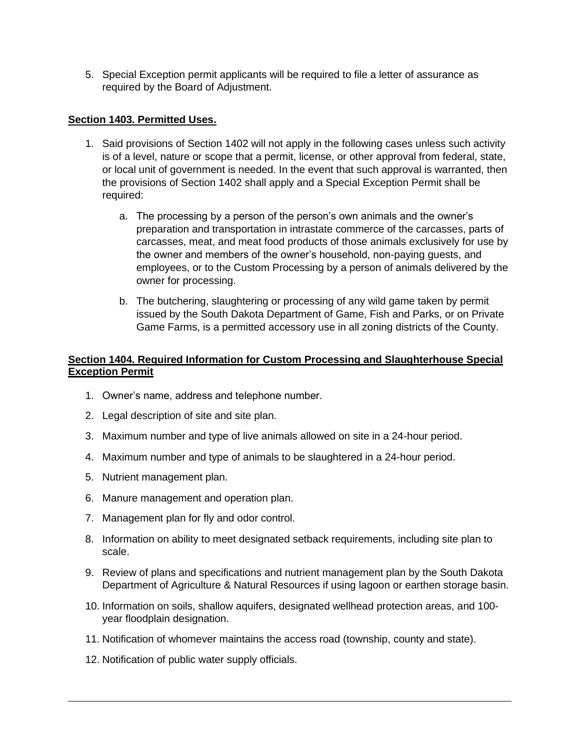5. Special Exception permit applicants will be required to file a letter of assurance as required by the Board of Adjustment.

## **Section 1403. Permitted Uses.**

- 1. Said provisions of Section 1402 will not apply in the following cases unless such activity is of a level, nature or scope that a permit, license, or other approval from federal, state, or local unit of government is needed. In the event that such approval is warranted, then the provisions of Section 1402 shall apply and a Special Exception Permit shall be required:
	- a. The processing by a person of the person's own animals and the owner's preparation and transportation in intrastate commerce of the carcasses, parts of carcasses, meat, and meat food products of those animals exclusively for use by the owner and members of the owner's household, non-paying guests, and employees, or to the Custom Processing by a person of animals delivered by the owner for processing.
	- b. The butchering, slaughtering or processing of any wild game taken by permit issued by the South Dakota Department of Game, Fish and Parks, or on Private Game Farms, is a permitted accessory use in all zoning districts of the County.

## **Section 1404. Required Information for Custom Processing and Slaughterhouse Special Exception Permit**

- 1. Owner's name, address and telephone number.
- 2. Legal description of site and site plan.
- 3. Maximum number and type of live animals allowed on site in a 24-hour period.
- 4. Maximum number and type of animals to be slaughtered in a 24-hour period.
- 5. Nutrient management plan.
- 6. Manure management and operation plan.
- 7. Management plan for fly and odor control.
- 8. Information on ability to meet designated setback requirements, including site plan to scale.
- 9. Review of plans and specifications and nutrient management plan by the South Dakota Department of Agriculture & Natural Resources if using lagoon or earthen storage basin.
- 10. Information on soils, shallow aquifers, designated wellhead protection areas, and 100 year floodplain designation.
- 11. Notification of whomever maintains the access road (township, county and state).
- 12. Notification of public water supply officials.